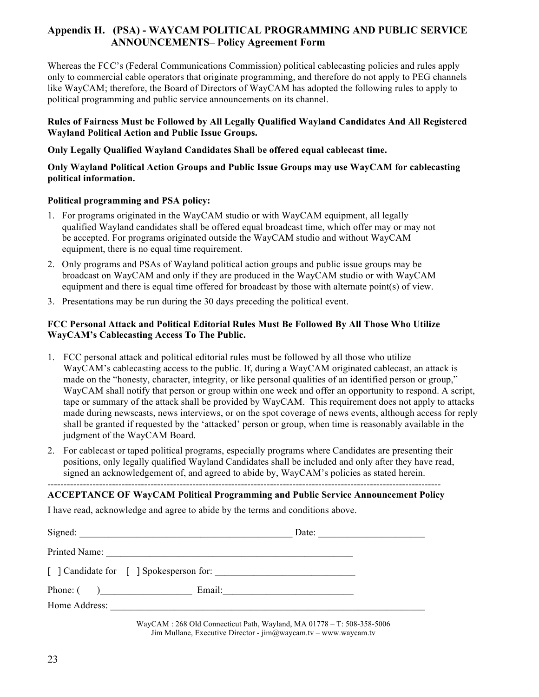# **Appendix H. (PSA) - WAYCAM POLITICAL PROGRAMMING AND PUBLIC SERVICE ANNOUNCEMENTS– Policy Agreement Form**

Whereas the FCC's (Federal Communications Commission) political cablecasting policies and rules apply only to commercial cable operators that originate programming, and therefore do not apply to PEG channels like WayCAM; therefore, the Board of Directors of WayCAM has adopted the following rules to apply to political programming and public service announcements on its channel.

#### **Rules of Fairness Must be Followed by All Legally Qualified Wayland Candidates And All Registered Wayland Political Action and Public Issue Groups.**

### **Only Legally Qualified Wayland Candidates Shall be offered equal cablecast time.**

#### **Only Wayland Political Action Groups and Public Issue Groups may use WayCAM for cablecasting political information.**

#### **Political programming and PSA policy:**

- 1. For programs originated in the WayCAM studio or with WayCAM equipment, all legally qualified Wayland candidates shall be offered equal broadcast time, which offer may or may not be accepted. For programs originated outside the WayCAM studio and without WayCAM equipment, there is no equal time requirement.
- 2. Only programs and PSAs of Wayland political action groups and public issue groups may be broadcast on WayCAM and only if they are produced in the WayCAM studio or with WayCAM equipment and there is equal time offered for broadcast by those with alternate point(s) of view.
- 3. Presentations may be run during the 30 days preceding the political event.

#### **FCC Personal Attack and Political Editorial Rules Must Be Followed By All Those Who Utilize WayCAM's Cablecasting Access To The Public.**

- 1. FCC personal attack and political editorial rules must be followed by all those who utilize WayCAM's cablecasting access to the public. If, during a WayCAM originated cablecast, an attack is made on the "honesty, character, integrity, or like personal qualities of an identified person or group," WayCAM shall notify that person or group within one week and offer an opportunity to respond. A script, tape or summary of the attack shall be provided by WayCAM. This requirement does not apply to attacks made during newscasts, news interviews, or on the spot coverage of news events, although access for reply shall be granted if requested by the 'attacked' person or group, when time is reasonably available in the judgment of the WayCAM Board.
- 2. For cablecast or taped political programs, especially programs where Candidates are presenting their positions, only legally qualified Wayland Candidates shall be included and only after they have read, signed an acknowledgement of, and agreed to abide by, WayCAM's policies as stated herein.

#### -------------------------------------------------------------------------------------------------------------------------- **ACCEPTANCE OF WayCAM Political Programming and Public Service Announcement Policy**

I have read, acknowledge and agree to abide by the terms and conditions above.

|               | Date:                                                                     |  |
|---------------|---------------------------------------------------------------------------|--|
| Printed Name: | <u> 1980 - Jan Barat, Amerikaansk politiker († 1908)</u>                  |  |
|               |                                                                           |  |
|               | Phone: $($ )<br>Email:                                                    |  |
|               |                                                                           |  |
|               | WayCAM : 268 Old Connecticut Path, Wayland, MA $01778 - T$ : 508-358-5006 |  |

Jim Mullane, Executive Director - jim@waycam.tv – www.waycam.tv